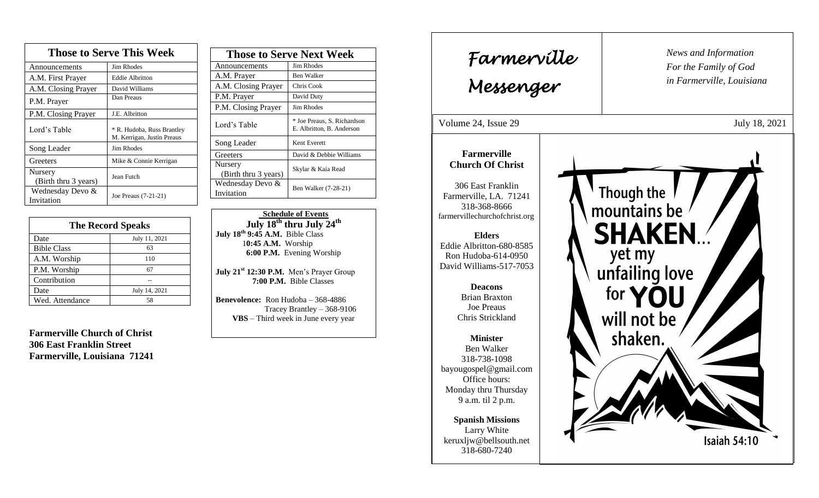| <b>Those to Serve This Week</b> |                                                          |  |
|---------------------------------|----------------------------------------------------------|--|
| Announcements                   | <b>Jim Rhodes</b>                                        |  |
| A.M. First Prayer               | <b>Eddie Albritton</b>                                   |  |
| A.M. Closing Prayer             | David Williams                                           |  |
| P.M. Prayer                     | Dan Preaus                                               |  |
| P.M. Closing Prayer             | J.E. Albritton                                           |  |
| Lord's Table                    | * R. Hudoba, Russ Brantley<br>M. Kerrigan, Justin Preaus |  |
| Song Leader                     | Jim Rhodes                                               |  |
| Greeters                        | Mike & Connie Kerrigan                                   |  |
| Nursery<br>(Birth thru 3 years) | Jean Futch                                               |  |
| Wednesday Devo &<br>Invitation  | Joe Preaus (7-21-21)                                     |  |

| <b>The Record Speaks</b> |               |
|--------------------------|---------------|
| Date                     | July 11, 2021 |
| <b>Bible Class</b>       | 63            |
| A.M. Worship             | 110           |
| P.M. Worship             | 67            |
| Contribution             |               |
| Date                     | July 14, 2021 |
| Wed. Attendance          | 58            |

**Farmerville Church of Christ 306 East Franklin Street Farmerville, Louisiana 71241**

| <b>Those to Serve Next Week</b> |                                                          |
|---------------------------------|----------------------------------------------------------|
| Announcements                   | Jim Rhodes                                               |
| A.M. Prayer                     | Ben Walker                                               |
| A.M. Closing Prayer             | Chris Cook                                               |
| P.M. Prayer                     | David Duty                                               |
| P.M. Closing Prayer             | Jim Rhodes                                               |
| Lord's Table                    | * Joe Preaus, S. Richardson<br>E. Albritton, B. Anderson |
| Song Leader                     | Kent Everett                                             |
| Greeters                        | David & Debbie Williams                                  |
| Nursery<br>(Birth thru 3 years) | Skylar & Kaia Read                                       |
| Wednesday Devo &<br>Invitation  | Ben Walker (7-28-21)                                     |

 **Schedule of Events July 18 th thru July 24th July 18 th 9:45 A.M.** Bible Class 1**0:45 A.M.** Worship  **6:00 P.M.** Evening Worship

**July 21st 12:30 P.M.** Men's Prayer Group **7:00 P.M.** Bible Classes

**Benevolence:** Ron Hudoba – 368-4886 Tracey Brantley – 368-9106 **VBS** – Third week in June every year